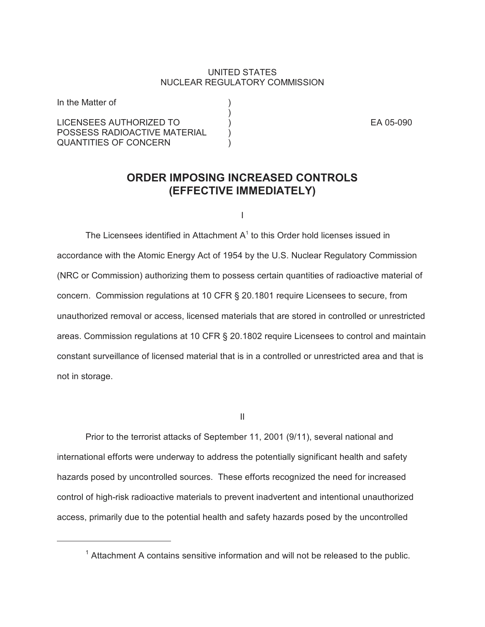## UNITED STATES NUCLEAR REGULATORY COMMISSION

)

LICENSEES AUTHORIZED TO ) EA 05-090 POSSESS RADIOACTIVE MATERIAL QUANTITIES OF CONCERN

In the Matter of (1)

## **ORDER IMPOSING INCREASED CONTROLS (EFFECTIVE IMMEDIATELY)**

I

The Licensees identified in Attachment  $A<sup>1</sup>$  to this Order hold licenses issued in accordance with the Atomic Energy Act of 1954 by the U.S. Nuclear Regulatory Commission (NRC or Commission) authorizing them to possess certain quantities of radioactive material of concern. Commission regulations at 10 CFR § 20.1801 require Licensees to secure, from unauthorized removal or access, licensed materials that are stored in controlled or unrestricted areas. Commission regulations at 10 CFR § 20.1802 require Licensees to control and maintain constant surveillance of licensed material that is in a controlled or unrestricted area and that is not in storage.

II

Prior to the terrorist attacks of September 11, 2001 (9/11), several national and international efforts were underway to address the potentially significant health and safety hazards posed by uncontrolled sources. These efforts recognized the need for increased control of high-risk radioactive materials to prevent inadvertent and intentional unauthorized access, primarily due to the potential health and safety hazards posed by the uncontrolled

 $1$  Attachment A contains sensitive information and will not be released to the public.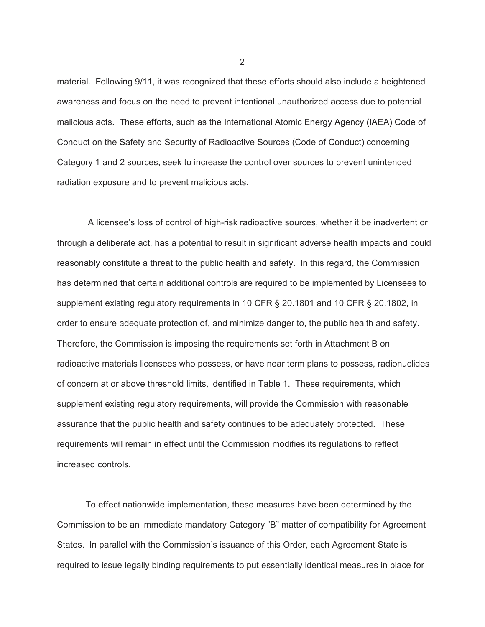material. Following 9/11, it was recognized that these efforts should also include a heightened awareness and focus on the need to prevent intentional unauthorized access due to potential malicious acts. These efforts, such as the International Atomic Energy Agency (IAEA) Code of Conduct on the Safety and Security of Radioactive Sources (Code of Conduct) concerning Category 1 and 2 sources, seek to increase the control over sources to prevent unintended radiation exposure and to prevent malicious acts.

 A licensee's loss of control of high-risk radioactive sources, whether it be inadvertent or through a deliberate act, has a potential to result in significant adverse health impacts and could reasonably constitute a threat to the public health and safety. In this regard, the Commission has determined that certain additional controls are required to be implemented by Licensees to supplement existing regulatory requirements in 10 CFR § 20.1801 and 10 CFR § 20.1802, in order to ensure adequate protection of, and minimize danger to, the public health and safety. Therefore, the Commission is imposing the requirements set forth in Attachment B on radioactive materials licensees who possess, or have near term plans to possess, radionuclides of concern at or above threshold limits, identified in Table 1. These requirements, which supplement existing regulatory requirements, will provide the Commission with reasonable assurance that the public health and safety continues to be adequately protected. These requirements will remain in effect until the Commission modifies its regulations to reflect increased controls.

To effect nationwide implementation, these measures have been determined by the Commission to be an immediate mandatory Category "B" matter of compatibility for Agreement States. In parallel with the Commission's issuance of this Order, each Agreement State is required to issue legally binding requirements to put essentially identical measures in place for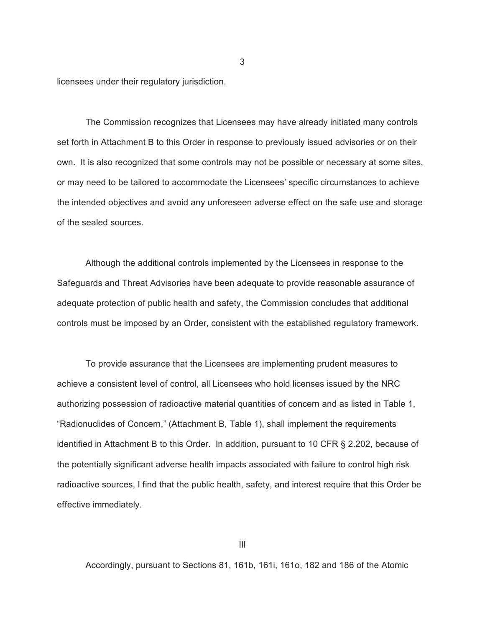licensees under their regulatory jurisdiction.

The Commission recognizes that Licensees may have already initiated many controls set forth in Attachment B to this Order in response to previously issued advisories or on their own. It is also recognized that some controls may not be possible or necessary at some sites, or may need to be tailored to accommodate the Licensees' specific circumstances to achieve the intended objectives and avoid any unforeseen adverse effect on the safe use and storage of the sealed sources.

3

Although the additional controls implemented by the Licensees in response to the Safeguards and Threat Advisories have been adequate to provide reasonable assurance of adequate protection of public health and safety, the Commission concludes that additional controls must be imposed by an Order, consistent with the established regulatory framework.

To provide assurance that the Licensees are implementing prudent measures to achieve a consistent level of control, all Licensees who hold licenses issued by the NRC authorizing possession of radioactive material quantities of concern and as listed in Table 1, "Radionuclides of Concern," (Attachment B, Table 1), shall implement the requirements identified in Attachment B to this Order. In addition, pursuant to 10 CFR § 2.202, because of the potentially significant adverse health impacts associated with failure to control high risk radioactive sources, I find that the public health, safety, and interest require that this Order be effective immediately.

Accordingly, pursuant to Sections 81, 161b, 161i, 161o, 182 and 186 of the Atomic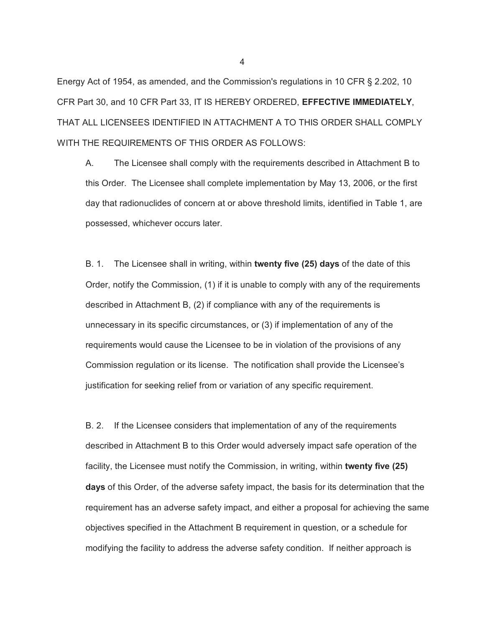Energy Act of 1954, as amended, and the Commission's regulations in 10 CFR § 2.202, 10 CFR Part 30, and 10 CFR Part 33, IT IS HEREBY ORDERED, **EFFECTIVE IMMEDIATELY**, THAT ALL LICENSEES IDENTIFIED IN ATTACHMENT A TO THIS ORDER SHALL COMPLY WITH THE REQUIREMENTS OF THIS ORDER AS FOLLOWS:

A. The Licensee shall comply with the requirements described in Attachment B to this Order. The Licensee shall complete implementation by May 13, 2006, or the first day that radionuclides of concern at or above threshold limits, identified in Table 1, are possessed, whichever occurs later.

B. 1. The Licensee shall in writing, within **twenty five (25) days** of the date of this Order, notify the Commission, (1) if it is unable to comply with any of the requirements described in Attachment B, (2) if compliance with any of the requirements is unnecessary in its specific circumstances, or (3) if implementation of any of the requirements would cause the Licensee to be in violation of the provisions of any Commission regulation or its license. The notification shall provide the Licensee's justification for seeking relief from or variation of any specific requirement.

B. 2. If the Licensee considers that implementation of any of the requirements described in Attachment B to this Order would adversely impact safe operation of the facility, the Licensee must notify the Commission, in writing, within **twenty five (25) days** of this Order, of the adverse safety impact, the basis for its determination that the requirement has an adverse safety impact, and either a proposal for achieving the same objectives specified in the Attachment B requirement in question, or a schedule for modifying the facility to address the adverse safety condition. If neither approach is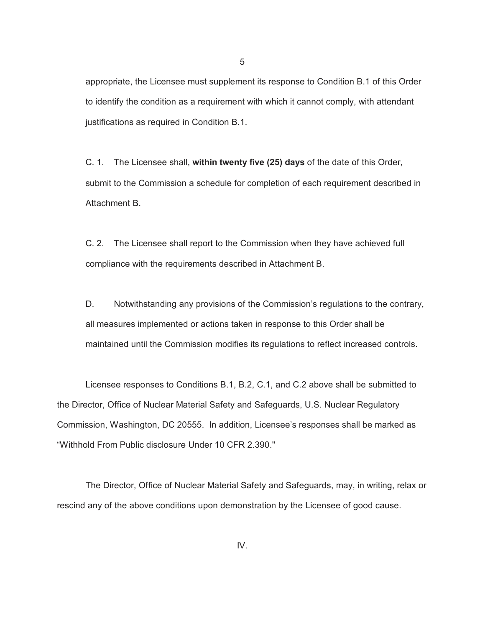appropriate, the Licensee must supplement its response to Condition B.1 of this Order to identify the condition as a requirement with which it cannot comply, with attendant justifications as required in Condition B.1.

C. 1. The Licensee shall, **within twenty five (25) days** of the date of this Order, submit to the Commission a schedule for completion of each requirement described in Attachment B.

C. 2. The Licensee shall report to the Commission when they have achieved full compliance with the requirements described in Attachment B.

D. Notwithstanding any provisions of the Commission's regulations to the contrary, all measures implemented or actions taken in response to this Order shall be maintained until the Commission modifies its regulations to reflect increased controls.

Licensee responses to Conditions B.1, B.2, C.1, and C.2 above shall be submitted to the Director, Office of Nuclear Material Safety and Safeguards, U.S. Nuclear Regulatory Commission, Washington, DC 20555. In addition, Licensee's responses shall be marked as "Withhold From Public disclosure Under 10 CFR 2.390."

The Director, Office of Nuclear Material Safety and Safeguards, may, in writing, relax or rescind any of the above conditions upon demonstration by the Licensee of good cause.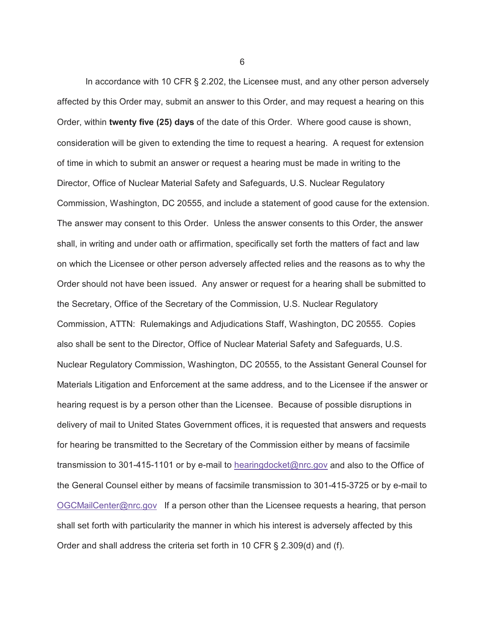In accordance with 10 CFR § 2.202, the Licensee must, and any other person adversely affected by this Order may, submit an answer to this Order, and may request a hearing on this Order, within **twenty five (25) days** of the date of this Order. Where good cause is shown, consideration will be given to extending the time to request a hearing. A request for extension of time in which to submit an answer or request a hearing must be made in writing to the Director, Office of Nuclear Material Safety and Safeguards, U.S. Nuclear Regulatory Commission, Washington, DC 20555, and include a statement of good cause for the extension. The answer may consent to this Order. Unless the answer consents to this Order, the answer shall, in writing and under oath or affirmation, specifically set forth the matters of fact and law on which the Licensee or other person adversely affected relies and the reasons as to why the Order should not have been issued. Any answer or request for a hearing shall be submitted to the Secretary, Office of the Secretary of the Commission, U.S. Nuclear Regulatory Commission, ATTN: Rulemakings and Adjudications Staff, Washington, DC 20555. Copies also shall be sent to the Director, Office of Nuclear Material Safety and Safeguards, U.S. Nuclear Regulatory Commission, Washington, DC 20555, to the Assistant General Counsel for Materials Litigation and Enforcement at the same address, and to the Licensee if the answer or hearing request is by a person other than the Licensee. Because of possible disruptions in delivery of mail to United States Government offices, it is requested that answers and requests for hearing be transmitted to the Secretary of the Commission either by means of facsimile transmission to 301-415-1101 or by e-mail to hearingdocket@nrc.gov and also to the Office of the General Counsel either by means of facsimile transmission to 301-415-3725 or by e-mail to OGCMailCenter@nrc.gov If a person other than the Licensee requests a hearing, that person shall set forth with particularity the manner in which his interest is adversely affected by this Order and shall address the criteria set forth in 10 CFR § 2.309(d) and (f).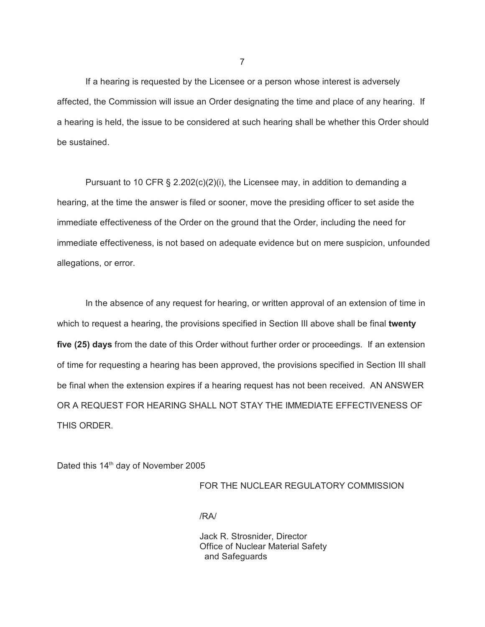If a hearing is requested by the Licensee or a person whose interest is adversely affected, the Commission will issue an Order designating the time and place of any hearing. If a hearing is held, the issue to be considered at such hearing shall be whether this Order should be sustained.

Pursuant to 10 CFR § 2.202(c)(2)(i), the Licensee may, in addition to demanding a hearing, at the time the answer is filed or sooner, move the presiding officer to set aside the immediate effectiveness of the Order on the ground that the Order, including the need for immediate effectiveness, is not based on adequate evidence but on mere suspicion, unfounded allegations, or error.

In the absence of any request for hearing, or written approval of an extension of time in which to request a hearing, the provisions specified in Section III above shall be final **twenty five (25) days** from the date of this Order without further order or proceedings. If an extension of time for requesting a hearing has been approved, the provisions specified in Section III shall be final when the extension expires if a hearing request has not been received. AN ANSWER OR A REQUEST FOR HEARING SHALL NOT STAY THE IMMEDIATE EFFECTIVENESS OF THIS ORDER.

Dated this 14<sup>th</sup> day of November 2005

## FOR THE NUCLEAR REGULATORY COMMISSION

/RA/

Jack R. Strosnider, Director Office of Nuclear Material Safety and Safeguards